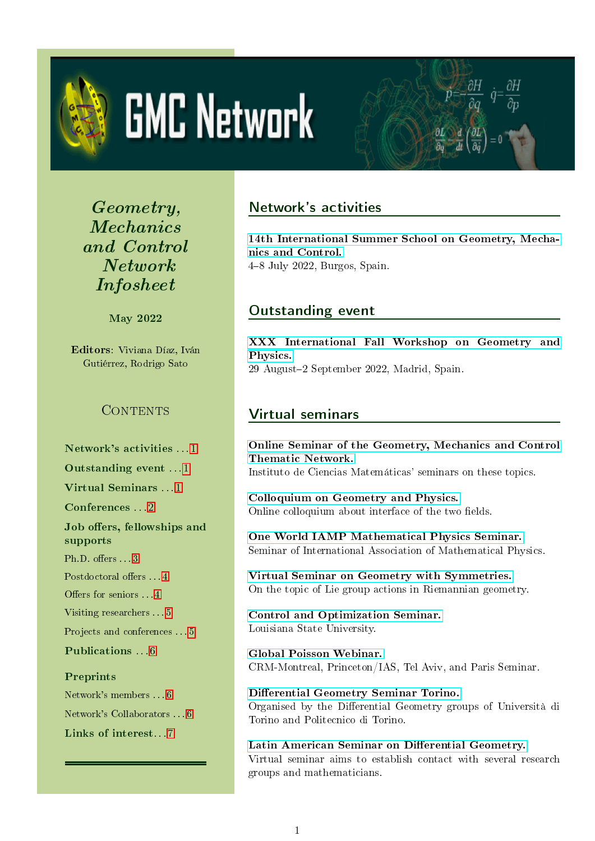<span id="page-0-3"></span>

# **GMC Network**

Geometry, Mechanics and Control Network Infosheet

May 2022

Editors: Viviana Díaz, Iván Gutiérrez, Rodrigo Sato

## CONTENTS

Network's activities [1](#page-0-0)

Outstanding event . . . [1](#page-0-1)

Virtual Seminars [1](#page-0-2)

Conferences . . . [2](#page-1-0)

Job offers, fellowships and supports

Ph.D. offers  $\dots$  [3](#page-2-0)

Postdoctoral offers . . . [4](#page-3-0)

Offers for seniors . . . [4](#page-3-1)

Visiting researchers . . . [5](#page-4-0)

Projects and conferences . . . [5](#page-4-1)

Publications . . . [6](#page-5-0)

## Preprints

Network's members . . . [6](#page-5-1) Network's Collaborators . . . [6](#page-5-2) Links of interest. . . [7](#page-6-0)

# <span id="page-0-0"></span>Network's activities

[14th International Summer School on Geometry, Mecha](https://sites.google.com/view/14summerschoolgmcnetwork/home)[nics and Control.](https://sites.google.com/view/14summerschoolgmcnetwork/home) 48 July 2022, Burgos, Spain.

 $\frac{\partial H}{\partial q}$   $\dot{q}$  =

## <span id="page-0-1"></span>Outstanding event

[XXX International Fall Workshop on Geometry and](https://www.icmat.es/congresos/2022/XXXIFWGP) [Physics.](https://www.icmat.es/congresos/2022/XXXIFWGP) 29 August2 September 2022, Madrid, Spain.

# <span id="page-0-2"></span>Virtual seminars

[Online Seminar of the Geometry, Mechanics and Control](https://www.icmat.es/es/actividades/seminarios/listado/?tipo=mecanica_geometrica) [Thematic Network.](https://www.icmat.es/es/actividades/seminarios/listado/?tipo=mecanica_geometrica) Instituto de Ciencias Matemáticas' seminars on these topics.

[Colloquium on Geometry and Physics.](http://web.math.ucsb.edu/~drm/WHCGP/) Online colloquium about interface of the two fields.

[One World IAMP Mathematical Physics Seminar.](http://www.iamp.org/page.php?page=page_seminar) Seminar of International Association of Mathematical Physics.

[Virtual Seminar on Geometry with Symmetries.](https://sites.google.com/prod/view/geometrywithsymmetries) On the topic of Lie group actions in Riemannian geometry.

[Control and Optimization Seminar.](https://www.math.lsu.edu/calendar?selecttime=past_year&selectevent=Control+and+Optimization+Seminar) Louisiana State University.

[Global Poisson Webinar.](https://www.unige.ch/math/folks/nikolaev/GlobalPoisson.html) CRM-Montreal, Princeton/IAS, Tel Aviv, and Paris Seminar.

Differential Geometry Seminar Torino. Organised by the Differential Geometry groups of Università di Torino and Politecnico di Torino.

Latin American Seminar on Differential Geometry. Virtual seminar aims to establish contact with several research groups and mathematicians.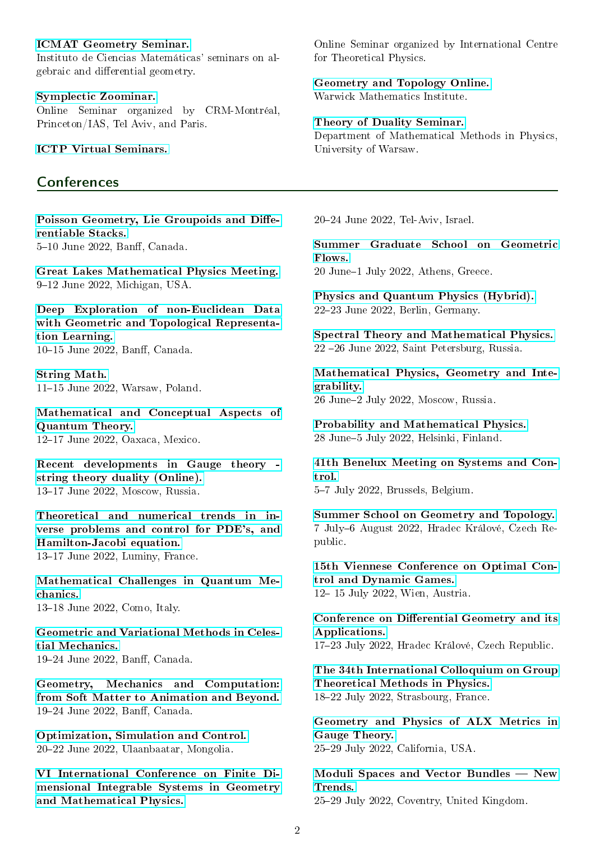#### [ICMAT Geometry Seminar.](https://www.icmat.es/events/seminars/list/?tipo=geometria)

Instituto de Ciencias Matemáticas' seminars on algebraic and differential geometry.

[Symplectic Zoominar.](http://www.math.tau.ac.il/~sarabt/zoominar/)

Online Seminar organized by CRM-Montréal, Princeton/IAS, Tel Aviv, and Paris.

[ICTP Virtual Seminars.](https://www.ictp.it/about-ictp/virtual-seminars.aspx)

#### <span id="page-1-0"></span>**Conferences**

Poisson Geometry, Lie Groupoids and Diffe[rentiable Stacks.](https://www.birs.ca/events/2022/5-day-workshops/22w5035) 5-10 June 2022, Banff, Canada.

[Great Lakes Mathematical Physics Meeting.](https://sites.google.com/msu.edu/glamp/home) 9-12 June 2022, Michigan, USA.

[Deep Exploration of non-Euclidean Data](https://www.birs.ca/events/2022/5-day-workshops/22w5125) [with Geometric and Topological Representa](https://www.birs.ca/events/2022/5-day-workshops/22w5125)[tion Learning.](https://www.birs.ca/events/2022/5-day-workshops/22w5125) 10-15 June 2022, Banff, Canada.

[String Math.](https://stringmath2022.fuw.edu.pl/) 11-15 June 2022, Warsaw, Poland.

[Mathematical and Conceptual Aspects of](https://www.birs.ca/events/2022/5-day-workshops/22w5177) [Quantum Theory.](https://www.birs.ca/events/2022/5-day-workshops/22w5177) 12-17 June 2022, Oaxaca, Mexico.

[Recent developments in Gauge theory](https://indico.quarks.ru/event/2022/page/56-recent-developments-in-gauge-theory-string-theory-duality)  [string theory duality \(Online\).](https://indico.quarks.ru/event/2022/page/56-recent-developments-in-gauge-theory-string-theory-duality) 13-17 June 2022, Moscow, Russia.

[Theoretical and numerical trends in in](https://conferences.cirm-math.fr/2561.html)[verse problems and control for PDE's, and](https://conferences.cirm-math.fr/2561.html) [Hamilton-Jacobi equation.](https://conferences.cirm-math.fr/2561.html) 13-17 June 2022, Luminy, France.

[Mathematical Challenges in Quantum Me](https://www.mcqm.it/index.html)[chanics.](https://www.mcqm.it/index.html) 13–18 June 2022, Como, Italy.

[Geometric and Variational Methods in Celes](https://www.birs.ca/events/2022/5-day-workshops/22w5175)[tial Mechanics.](https://www.birs.ca/events/2022/5-day-workshops/22w5175) 19-24 June 2022, Banff, Canada.

[Geometry, Mechanics and Computation:](https://www.birs.ca/events/2022/5-day-workshops/22w5123) [from Soft Matter to Animation and Beyond.](https://www.birs.ca/events/2022/5-day-workshops/22w5123) 19-24 June 2022, Banff, Canada.

[Optimization, Simulation and Control.](https://www.icosc2022.org/) 2022 June 2022, Ulaanbaatar, Mongolia.

[VI International Conference on Finite Di](http://www.math.tau.ac.il/~ostrover/Workshop/FDIS2021/FDIS2021.html)[mensional Integrable Systems in Geometry](http://www.math.tau.ac.il/~ostrover/Workshop/FDIS2021/FDIS2021.html) [and Mathematical Physics.](http://www.math.tau.ac.il/~ostrover/Workshop/FDIS2021/FDIS2021.html)

Online Seminar organized by International Centre for Theoretical Physics.

[Geometry and Topology Online.](https://warwick.ac.uk/fac/sci/maths/research/events/seminars/areas/geomtop/) Warwick Mathematics Institute.

#### [Theory of Duality Seminar.](https://www.fuw.edu.pl/kmmf-seminar.html?day=20211001)

Department of Mathematical Methods in Physics, University of Warsaw.

2024 June 2022, Tel-Aviv, Israel.

[Summer Graduate School on Geometric](https://geometric-flows-school.iacm.forth.gr/index.php) [Flows.](https://geometric-flows-school.iacm.forth.gr/index.php)

20 June-1 July 2022, Athens, Greece.

[Physics and Quantum Physics \(Hybrid\).](https://scholarsconferences.com/physics/) 2223 June 2022, Berlin, Germany.

[Spectral Theory and Mathematical Physics.](https://indico.eimi.ru/event/281/) 22 26 June 2022, Saint Petersburg, Russia.

[Mathematical Physics, Geometry and Inte](https://mpgi2022.mathcenter.ru/)[grability.](https://mpgi2022.mathcenter.ru/) 26 June2 July 2022, Moscow, Russia.

[Probability and Mathematical Physics.](https://www2.helsinki.fi/en/conferences/probability-and-mathematical-physics) 28 June5 July 2022, Helsinki, Finland.

[41th Benelux Meeting on Systems and Con](https://www.beneluxmeeting.nl/2022/)[trol.](https://www.beneluxmeeting.nl/2022/) 5-7 July 2022, Brussels, Belgium.

[Summer School on Geometry and Topology.](https://www.uhk.cz/en/faculty-of-science/exchanges/summer-school-1/online-summer-school-on-geometry-and-topology-2021) 7 July-6 August 2022, Hradec Králové, Czech Republic.

[15th Viennese Conference on Optimal Con](https://orcos.tuwien.ac.at/events/vc2022/)[trol and Dynamic Games.](https://orcos.tuwien.ac.at/events/vc2022/) 12-15 July 2022, Wien, Austria.

Conference on Differential Geometry and its [Applications.](https://prf.uhk.cz/dga2022/) 1723 July 2022, Hradec Králové, Czech Republic.

[The 34th International Colloquium on Group](https://indico.in2p3.fr/event/23498/) [Theoretical Methods in Physics.](https://indico.in2p3.fr/event/23498/) 1822 July 2022, Strasbourg, France.

[Geometry and Physics of ALX Metrics in](https://aimath.org/workshops/upcoming/geomphysalx/) [Gauge Theory.](https://aimath.org/workshops/upcoming/geomphysalx/) 2529 July 2022, California, USA.

Moduli Spaces and Vector Bundles - New [Trends.](http://vbac.wikidot.com/vbac2022) 2529 July 2022, Coventry, United Kingdom.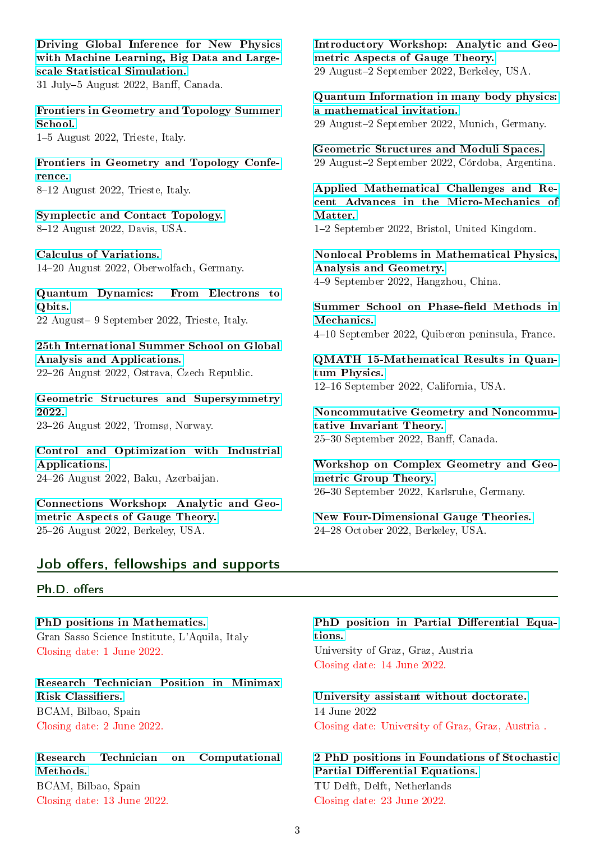[Driving Global Inference for New Physics](https://www.birs.ca/events/2022/5-day-workshops/22w5129) [with Machine Learning, Big Data and Large](https://www.birs.ca/events/2022/5-day-workshops/22w5129)[scale Statistical Simulation.](https://www.birs.ca/events/2022/5-day-workshops/22w5129)  $31$  July-5 August 2022, Banff, Canada.

[Frontiers in Geometry and Topology Summer](http://indico.ictp.it/event/9705/) [School.](http://indico.ictp.it/event/9705/)

15 August 2022, Trieste, Italy.

[Frontiers in Geometry and Topology Confe](http://indico.ictp.it/event/9706/)[rence.](http://indico.ictp.it/event/9706/)

8-12 August 2022, Trieste, Italy.

[Symplectic and Contact Topology.](https://sites.google.com/view/sync-early-career-workshop/home) 8-12 August 2022, Davis, USA.

[Calculus of Variations.](https://www.mfo.de/occasion/2233/www_view) 1420 August 2022, Oberwolfach, Germany.

[Quantum Dynamics: From Electrons to](http://indico.ictp.it/event/9823/) [Qbits.](http://indico.ictp.it/event/9823/) 22 August- 9 September 2022, Trieste, Italy.

[25th International Summer School on Global](http://www.lepageri.eu/summer-school) [Analysis and Applications.](http://www.lepageri.eu/summer-school)

2226 August 2022, Ostrava, Czech Republic.

[Geometric Structures and Supersymmetry](https://super-tromso.puremath.no/) [2022.](https://super-tromso.puremath.no/) 23-26 August 2022, Tromsø, Norway.

[Control and Optimization with Industrial](http://www.coia-conf.org/en/) [Applications.](http://www.coia-conf.org/en/) 2426 August 2022, Baku, Azerbaijan.

[Connections Workshop: Analytic and Geo](https://www.msri.org/workshops/972)[metric Aspects of Gauge Theory.](https://www.msri.org/workshops/972) 25-26 August 2022, Berkeley, USA.

[Introductory Workshop: Analytic and Geo](https://www.msri.org/workshops/973)[metric Aspects of Gauge Theory.](https://www.msri.org/workshops/973) 29 August-2 September 2022, Berkeley, USA.

[Quantum Information in many body physics:](https://wiki.tum.de/display/qimp20) [a mathematical invitation.](https://wiki.tum.de/display/qimp20) 29 August-2 September 2022, Munich, Germany.

[Geometric Structures and Moduli Spaces.](#page-0-3) 29 August-2 September 2022, Córdoba, Argentina.

[Applied Mathematical Challenges and Re](https://tinyurl.com/y469dzzt)[cent Advances in the Micro-Mechanics of](https://tinyurl.com/y469dzzt) [Matter.](https://tinyurl.com/y469dzzt) 12 September 2022, Bristol, United Kingdom.

[Nonlocal Problems in Mathematical Physics,](https://www.birs.ca/events/2022/5-day-workshops/22w5193) [Analysis and Geometry.](https://www.birs.ca/events/2022/5-day-workshops/22w5193) 49 September 2022, Hangzhou, China.

Summer School on Phase-field Methods in [Mechanics.](http://cpm.ida.upmc.fr/)

410 September 2022, Quiberon peninsula, France.

[QMATH 15-Mathematical Results in Quan](https://www.math.ucdavis.edu/~qmath/)[tum Physics.](https://www.math.ucdavis.edu/~qmath/) 12-16 September 2022, California, USA.

[Noncommutative Geometry and Noncommu](https://www.birs.ca/events/2022/5-day-workshops/22w5084)[tative Invariant Theory.](https://www.birs.ca/events/2022/5-day-workshops/22w5084) 25-30 September 2022, Banff, Canada.

[Workshop on Complex Geometry and Geo](https://www.math.kit.edu/iag2/~llosa/page/workshop-cg-ggt-2022/en)[metric Group Theory.](https://www.math.kit.edu/iag2/~llosa/page/workshop-cg-ggt-2022/en) 2630 September 2022, Karlsruhe, Germany.

[New Four-Dimensional Gauge Theories.](https://www.msri.org/workshops/1025) 2428 October 2022, Berkeley, USA.

## Job offers, fellowships and supports

## <span id="page-2-0"></span>Ph.D. offers

[PhD positions in Mathematics.](https://www.gssi.it/communication/news-events/item/16959) Gran Sasso Science Institute, L'Aquila, Italy Closing date: 1 June 2022.

[Research Technician Position in Minimax](http://www.bcamath.org/en/research/job/ic2022-03-research-technian-in-minimax-risk-classifiers) Risk Classifiers. BCAM, Bilbao, Spain Closing date: 2 June 2022.

[Research Technician on Computational](http://www.bcamath.org/en/research/job/ic2022-05-research-technician-on-computational-methods-for-reliability-and-structural-health-monitoring) [Methods.](http://www.bcamath.org/en/research/job/ic2022-05-research-technician-on-computational-methods-for-reliability-and-structural-health-monitoring) BCAM, Bilbao, Spain Closing date: 13 June 2022.

#### PhD position in Partial Differential Equa[tions.](https://jobs.uni-graz.at/ausschreibung/en/?jh=zitkkr1jro56aamtqmm9z50e5rydhoz)

University of Graz, Graz, Austria Closing date: 14 June 2022.

[University assistant without doctorate.](https://uni-graz.jobbase.io/candidate/job/print/zitkkr1jro56aamtqmm9z50e5rydhoz?mode=print) 14 June 2022 Closing date: University of Graz, Graz, Austria .

[2 PhD positions in Foundations of Stochastic](https://www.tudelft.nl/over-tu-delft/werken-bij-tu-delft/vacatures/details?jobId=6322&jobTitle=PhD%20Position%20Foundations%20of%20Stochastics%20Partial%20Differential%20Equations) Partial Differential Equations. TU Delft, Delft, Netherlands Closing date: 23 June 2022.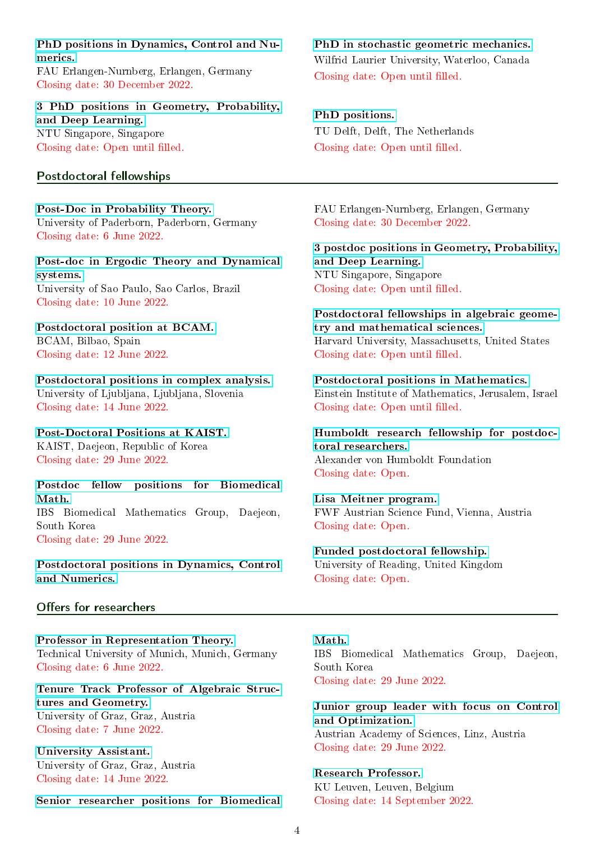#### [PhD positions in Dynamics, Control and Nu](https://dcn.nat.fau.eu/phd/)[merics.](https://dcn.nat.fau.eu/phd/)

FAU Erlangen-Nurnberg, Erlangen, Germany Closing date: 30 December 2022.

#### [3 PhD positions in Geometry, Probability,](http://www.philippharms.com) [and Deep Learning.](http://www.philippharms.com) NTU Singapore, Singapore

Closing date: Open until filled.

#### <span id="page-3-0"></span>Postdoctoral fellowships

[Post-Doc in Probability Theory.](https://www.uni-paderborn.de/fileadmin/zv/4-4/stellenangebote/Kennziffer5280.pdf) University of Paderborn, Paderborn, Germany Closing date: 6 June 2022.

[Post-doc in Ergodic Theory and Dynamical](https://sites.google.com/view/dynamical-systems-at-icmc-usp/job-oportunities) [systems.](https://sites.google.com/view/dynamical-systems-at-icmc-usp/job-oportunities) University of Sao Paulo, Sao Carlos, Brazil Closing date: 10 June 2022.

#### [Postdoctoral position at BCAM.](http://www.bcamath.org/en/research/job/ic2022-05-postdoctoral-fellow-on-modelling-the-remaining-useful-lifetime-for-offshore-wind-energy-technologies) BCAM, Bilbao, Spain Closing date: 12 June 2022.

[Postdoctoral positions in complex analysis.](https://www.uni-lj.si/aktualno/prosta_delovna_mesta/2022051613342121/) University of Ljubljana, Ljubljana, Slovenia Closing date: 14 June 2022.

[Post-Doctoral Positions at KAIST.](https://saarc.kaist.ac.kr/boards/view/events/9) KAIST, Daejeon, Republic of Korea Closing date: 29 June 2022.

[Postdoc fellow positions for Biomedical](https://www.ibs.re.kr/bimag/hiring/) [Math.](https://www.ibs.re.kr/bimag/hiring/) IBS Biomedical Mathematics Group, Daejeon, South Korea Closing date: 29 June 2022.

[Postdoctoral positions in Dynamics, Control](https://dcn.nat.fau.eu/postdoc/) [and Numerics.](https://dcn.nat.fau.eu/postdoc/)

#### <span id="page-3-1"></span>Offers for researchers

[Professor in Representation Theory.](https://portal.mytum.de/jobs/professuren/NewsArticle_20220425_134210) Technical University of Munich, Munich, Germany Closing date: 6 June 2022.

[Tenure Track Professor of Algebraic Struc](https://jobsprof.uni-graz.at/en/job/7390)[tures and Geometry.](https://jobsprof.uni-graz.at/en/job/7390) University of Graz, Graz, Austria Closing date: 7 June 2022.

[University Assistant.](https://jobs.uni-graz.at/ausschreibung/en/?jh=4835admw2kc0d4ax0iqs8h3nok3g91c) University of Graz, Graz, Austria Closing date: 14 June 2022.

[Senior researcher positions for Biomedical](https://www.ibs.re.kr/bimag/hiring/)

## [PhD in stochastic geometric mechanics.](https://www.wlu.ca/programs/science/graduate/mathematical-and-statistical-modelling-phd/index.html) Wilfrid Laurier University, Waterloo, Canada Closing date: Open until filled.

[PhD positions.](https://tinyurl.com/yyzhqhfr) TU Delft, Delft, The Netherlands Closing date: Open until filled.

FAU Erlangen-Nurnberg, Erlangen, Germany Closing date: 30 December 2022.

[3 postdoc positions in Geometry, Probability,](http://www.philippharms.com) [and Deep Learning.](http://www.philippharms.com) NTU Singapore, Singapore Closing date: Open until filled.

[Postdoctoral fellowships in algebraic geome](http://cmsa.fas.harvard.edu/jobs/)[try and mathematical sciences.](http://cmsa.fas.harvard.edu/jobs/) Harvard University, Massachusetts, United States Closing date: Open until filled.

[Postdoctoral positions in Mathematics.](https://mathematics.huji.ac.il/book/faculty-positions-0) Einstein Institute of Mathematics, Jerusalem, Israel Closing date: Open until filled.

[Humboldt research fellowship for postdoc](https://www.humboldt-foundation.de/web/humboldt-fellowship-postdoc.html)[toral researchers.](https://www.humboldt-foundation.de/web/humboldt-fellowship-postdoc.html) Alexander von Humboldt Foundation Closing date: Open.

[Lisa Meitner program.](https://www.fwf.ac.at/en/research-funding/application/) FWF Austrian Science Fund, Vienna, Austria Closing date: Open.

[Funded postdoctoral fellowship.](https://www.reading.ac.uk/maths-and-stats/JobsAndFellowships/maths-fellowships.aspx) University of Reading, United Kingdom Closing date: Open.

#### [Math.](https://www.ibs.re.kr/bimag/hiring/)

IBS Biomedical Mathematics Group, Daejeon, South Korea Closing date: 29 June 2022.

[Junior group leader with focus on Control](https://www.oeaw.ac.at/fileadmin/Institute/RICAM/pdf/jobs/2022/RICAM007JGL122_Kunisch.pdf) [and Optimization.](https://www.oeaw.ac.at/fileadmin/Institute/RICAM/pdf/jobs/2022/RICAM007JGL122_Kunisch.pdf) Austrian Academy of Sciences, Linz, Austria Closing date: 29 June 2022.

[Research Professor.](https://www.kuleuven.be/personeel/jobsite/jobs/60115431?hl=en&lang=en) KU Leuven, Leuven, Belgium Closing date: 14 September 2022.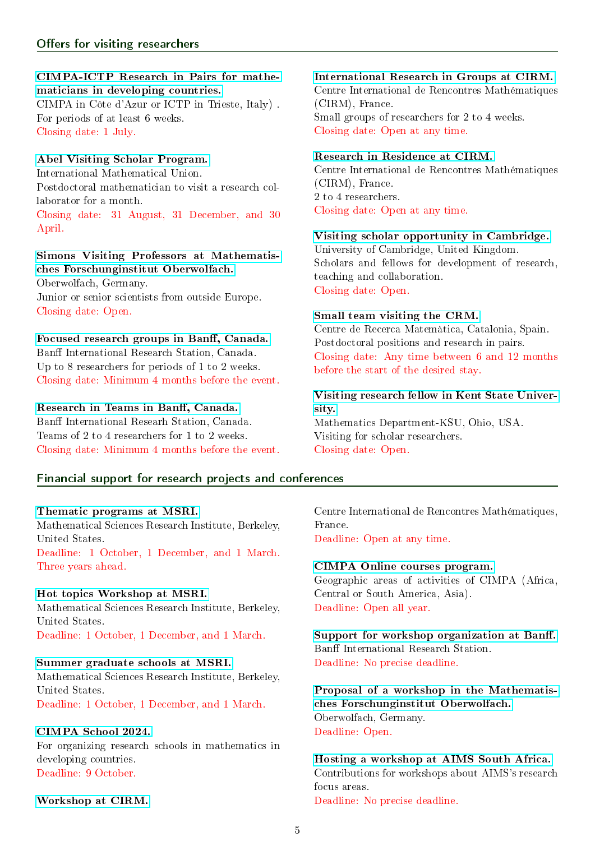#### <span id="page-4-0"></span>[CIMPA-ICTP Research in Pairs for mathe](https://www.cimpa.info/en/node/7159)[maticians in developing countries.](https://www.cimpa.info/en/node/7159)

CIMPA in Côte d'Azur or ICTP in Trieste, Italy) . For periods of at least 6 weeks. Closing date: 1 July.

#### [Abel Visiting Scholar Program.](https://www.mathunion.org/cdc/grants/research-travel-grants/abel-visiting-scholar-program)

International Mathematical Union. Postdoctoral mathematician to visit a research collaborator for a month.

Closing date: 31 August, 31 December, and 30 April.

#### [Simons Visiting Professors at Mathematis](https://www.mfo.de/scientific-program/meetings/simons-visiting-professors)[ches Forschunginstitut Oberwolfach.](https://www.mfo.de/scientific-program/meetings/simons-visiting-professors)

Oberwolfach, Germany. Junior or senior scientists from outside Europe. Closing date: Open.

# Focused research groups in Banff, Canada.

Banff International Research Station, Canada. Up to 8 researchers for periods of 1 to 2 weeks. Closing date: Minimum 4 months before the event.

#### Research in Teams in Banff, Canada.

Banff International Researh Station, Canada. Teams of 2 to 4 researchers for 1 to 2 weeks. Closing date: Minimum 4 months before the event.

## <span id="page-4-1"></span>Financial support for research projects and conferences

#### [Thematic programs at MSRI.](http://www.msri.org/web/msri/scientific/request-for-proposals/propose-a-program)

Mathematical Sciences Research Institute, Berkeley, United States.

Deadline: 1 October, 1 December, and 1 March. Three years ahead.

#### [Hot topics Workshop at MSRI.](http://www.msri.org/web/msri/scientific/request-for-proposals/propose-a-hot-topics-workshop)

Mathematical Sciences Research Institute, Berkeley, United States.

Deadline: 1 October, 1 December, and 1 March.

#### [Summer graduate schools at MSRI.](http://www.msri.org/web/msri/scientific/request-for-proposals/propose-a-summer-graduate-school)

Mathematical Sciences Research Institute, Berkeley, United States. Deadline: 1 October, 1 December, and 1 March.

#### [CIMPA School 2024.](https://www.cimpa.info/en/node/41)

For organizing research schools in mathematics in developing countries. Deadline: 9 October.

#### [Workshop at CIRM.](https://www.cirm-math.com/workshops-new.html)

[International Research in Groups at CIRM.](http://www.cirm-math.com/irigs.html) Centre International de Rencontres Mathématiques

(CIRM), France. Small groups of researchers for 2 to 4 weeks. Closing date: Open at any time.

#### [Research in Residence at CIRM.](https://www.cirm-math.com/research-in-residence-new.html)

Centre International de Rencontres Mathématiques (CIRM), France. 2 to 4 researchers. Closing date: Open at any time.

#### [Visiting scholar opportunity in Cambridge.](https://tinyurl.com/un8bd4t)

University of Cambridge, United Kingdom. Scholars and fellows for development of research, teaching and collaboration. Closing date: Open.

#### [Small team visiting the CRM.](http://www.crm.cat/en/Host/VisitingCRM/Pages/ResearchPairs.aspx)

Centre de Recerca Matemàtica, Catalonia, Spain. Postdoctoral positions and research in pairs. Closing date: Any time between 6 and 12 months before the start of the desired stay.

#### [Visiting research fellow in Kent State Univer](http://www.kent.edu/globaleducation/visiting-scholars)[sity.](http://www.kent.edu/globaleducation/visiting-scholars)

Mathematics Department-KSU, Ohio, USA. Visiting for scholar researchers. Closing date: Open.

Centre International de Rencontres Mathématiques, France.

Deadline: Open at any time.

#### [CIMPA Online courses program.](https://www.cimpa.info/en/node/6574)

Geographic areas of activities of CIMPA (Africa, Central or South America, Asia). Deadline: Open all year.

Support for workshop organization at Banff. Banff International Research Station. Deadline: No precise deadline.

[Proposal of a workshop in the Mathematis](https://www.mfo.de/scientific-programme/meetings/workshop)[ches Forschunginstitut Oberwolfach.](https://www.mfo.de/scientific-programme/meetings/workshop) Oberwolfach, Germany. Deadline: Open.

[Hosting a workshop at AIMS South Africa.](https://tinyurl.com/y8p3t34j) Contributions for workshops about AIMS's research focus areas.

Deadline: No precise deadline.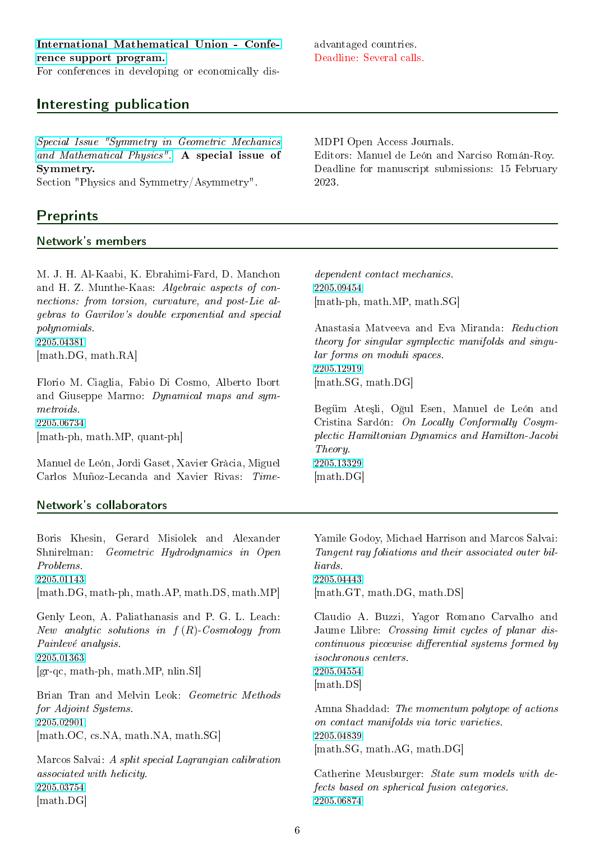For conferences in developing or economically dis-

# <span id="page-5-0"></span>Interesting publication

[Special Issue "Symmetry in Geometric Mechanics](https://www.mdpi.com/journal/symmetry/special_issues/Symmetry_Geometric_Mechanics_Mathematical_Physics) [and Mathematical Physics".](https://www.mdpi.com/journal/symmetry/special_issues/Symmetry_Geometric_Mechanics_Mathematical_Physics) A special issue of Symmetry.

Section "Physics and Symmetry/Asymmetry".

# **Preprints**

## <span id="page-5-1"></span>Network's members

M. J. H. Al-Kaabi, K. Ebrahimi-Fard, D. Manchon and H. Z. Munthe-Kaas: Algebraic aspects of connections: from torsion, curvature, and post-Lie algebras to Gavrilov's double exponential and special polynomials. [2205.04381](http://arxiv.org/abs/2205.04381v1)

[math.DG, math.RA]

Florio M. Ciaglia, Fabio Di Cosmo, Alberto Ibort and Giuseppe Marmo: Dynamical maps and symmetroids. [2205.06734](http://arxiv.org/abs/2205.06734v1) [math-ph, math.MP, quant-ph]

Manuel de León, Jordi Gaset, Xavier Gràcia, Miguel Carlos Muñoz-Lecanda and Xavier Rivas: Time-

<span id="page-5-2"></span>Network's collaborators

[2205.03754](http://arxiv.org/abs/2205.03754v1) [math.DG]

advantaged countries. Deadline: Several calls.

2023.

MDPI Open Access Journals. Editors: Manuel de León and Narciso Román-Roy. Deadline for manuscript submissions: 15 February

dependent contact mechanics. [2205.09454](http://arxiv.org/abs/2205.09454v1) [math-ph, math.MP, math.SG]

Anastasia Matveeva and Eva Miranda: Reduction theory for singular symplectic manifolds and singular forms on moduli spaces. [2205.12919](http://arxiv.org/abs/2205.12919v1) [math.SG, math.DG]

Begüm Ateşli, Oğul Esen, Manuel de León and Cristina Sardón: On Locally Conformally Cosymplectic Hamiltonian Dynamics and Hamilton-Jacobi Theory. [2205.13329](http://arxiv.org/abs/2205.13329v1) [math.DG]

Boris Khesin, Gerard Misiolek and Alexander Shnirelman: Geometric Hydrodynamics in Open Problems. [2205.01143](http://arxiv.org/abs/2205.01143v1) [math.DG, math-ph, math.AP, math.DS, math.MP] Genly Leon, A. Paliathanasis and P. G. L. Leach: New analytic solutions in  $f(R)$ -Cosmology from Painlevé analysis. [2205.01363](http://arxiv.org/abs/2205.01363v1) [gr-qc, math-ph, math.MP, nlin.SI] Brian Tran and Melvin Leok: Geometric Methods for Adjoint Systems. [2205.02901](http://arxiv.org/abs/2205.02901v1) [math.OC, cs.NA, math.NA, math.SG] Marcos Salvai: A split special Lagrangian calibration associated with helicity.

Yamile Godoy, Michael Harrison and Marcos Salvai: Tangent ray foliations and their associated outer billiards. [2205.04443](http://arxiv.org/abs/2205.04443v1) [math.GT, math.DG, math.DS]

Claudio A. Buzzi, Yagor Romano Carvalho and Jaume Llibre: Crossing limit cycles of planar discontinuous piecewise differential systems formed by isochronous centers. [2205.04554](http://arxiv.org/abs/2205.04554v1) [math.DS]

Amna Shaddad: The momentum polytope of actions on contact manifolds via toric varieties. [2205.04839](http://arxiv.org/abs/2205.04839v1) [math.SG, math.AG, math.DG]

Catherine Meusburger: State sum models with defects based on spherical fusion categories. [2205.06874](http://arxiv.org/abs/2205.06874v1)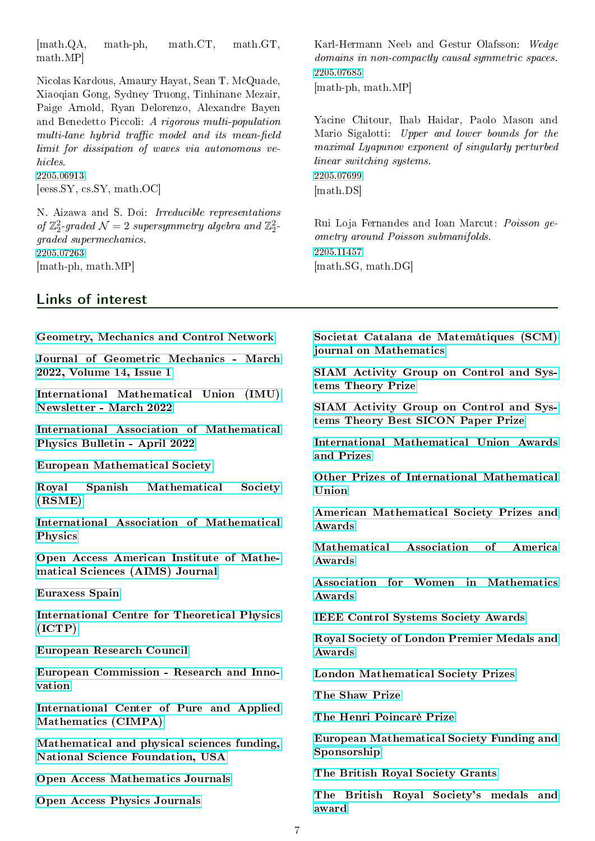[math.QA, math-ph, math.CT, math.GT, math.MP]

Nicolas Kardous, Amaury Hayat, Sean T. McQuade, Xiaoqian Gong, Sydney Truong, Tinhinane Mezair, Paige Arnold, Ryan Delorenzo, Alexandre Bayen and Benedetto Piccoli: A rigorous multi-population multi-lane hybrid traffic model and its mean-field limit for dissipation of waves via autonomous vehicles. [2205.06913](http://arxiv.org/abs/2205.06913v1) [eess.SY, cs.SY, math.OC]

N. Aizawa and S. Doi: Irreducible representations of  $\mathbb{Z}_2^2$ -graded  $\mathcal{N}=2$  supersymmetry algebra and  $\mathbb{Z}_2^2$ graded supermechanics. [2205.07263](http://arxiv.org/abs/2205.07263v1) [math-ph, math.MP]

### <span id="page-6-0"></span>Links of interest

[Geometry, Mechanics and Control Network](http://gmcnet.webs.ull.es/)

[Journal of Geometric Mechanics - March](https://www.aimsciences.org/journal/1941-4889/2022/14/1) [2022, Volume 14, Issue 1](https://www.aimsciences.org/journal/1941-4889/2022/14/1)

[International Mathematical Union \(IMU\)](https://www.mathunion.org/fileadmin/IMU/Organization/imu-net/pdfs/2022/IMU-News-112.pdf) [Newsletter - March 2022](https://www.mathunion.org/fileadmin/IMU/Organization/imu-net/pdfs/2022/IMU-News-112.pdf)

[International Association of Mathematical](http://www.iamp.org/bulletins/Bulletin-Apr2022-screen.pdf) [Physics Bulletin - April 2022](http://www.iamp.org/bulletins/Bulletin-Apr2022-screen.pdf)

[European Mathematical Society](https://euromathsoc.org/)

[Royal Spanish Mathematical Society](https://www.rsme.es/) [\(RSME\)](https://www.rsme.es/)

[International Association of Mathematical](http://www.iamp.org/page.php?page=page_start) [Physics](http://www.iamp.org/page.php?page=page_start)

[Open Access American Institute of Mathe](http://www.aimspress.com/journal/Math)[matical Sciences \(AIMS\) Journal](http://www.aimspress.com/journal/Math)

[Euraxess Spain](https://www.euraxess.es/spain/science-spain)

[International Centre for Theoretical Physics](https://www.ictp.it/) [\(ICTP\)](https://www.ictp.it/)

[European Research Council](https://erc.europa.eu/)

[European Commission - Research and Inno](https://ec.europa.eu/info/research-and-innovation_en)[vation](https://ec.europa.eu/info/research-and-innovation_en)

[International Center of Pure and Applied](https://www.cimpa.info/) [Mathematics \(CIMPA\)](https://www.cimpa.info/)

[Mathematical and physical sciences funding,](https://www.nsf.gov/funding/pgm_list.jsp?org=MPS) [National Science Foundation, USA](https://www.nsf.gov/funding/pgm_list.jsp?org=MPS)

[Open Access Mathematics Journals](https://www.omicsonline.org/mathematics-journals.php)

[Open Access Physics Journals](https://www.omicsonline.org/physics-journals.php)

Karl-Hermann Neeb and Gestur Olafsson: Wedge domains in non-compactly causal symmetric spaces. [2205.07685](http://arxiv.org/abs/2205.07685v1) [math-ph, math.MP]

Yacine Chitour, Ihab Haidar, Paolo Mason and Mario Sigalotti: Upper and lower bounds for the maximal Lyapunov exponent of singularly perturbed linear switching systems. [2205.07699](http://arxiv.org/abs/2205.07699v1) [math.DS]

Rui Loja Fernandes and Ioan Marcut: Poisson geometry around Poisson submanifolds. [2205.11457](http://arxiv.org/abs/2205.11457v1) [math.SG, math.DG]

[Societat Catalana de Matemàtiques \(SCM\)](http://revistes.iec.cat/index.php/reports/) [journal on Mathematics](http://revistes.iec.cat/index.php/reports/)

[SIAM Activity Group on Control and Sys](https://tinyurl.com/ydcpznv7)[tems Theory Prize](https://tinyurl.com/ydcpznv7)

[SIAM Activity Group on Control and Sys](https://tinyurl.com/ycjpzvz6)[tems Theory Best SICON Paper Prize](https://tinyurl.com/ycjpzvz6)

[International Mathematical Union Awards](https://www.mathunion.org/imu-awards/imu-awards-prizes-and-special-lecture) [and Prizes](https://www.mathunion.org/imu-awards/imu-awards-prizes-and-special-lecture)

[Other Prizes of International Mathematical](https://www.mathunion.org/imu-awards/other-prizes) [Union](https://www.mathunion.org/imu-awards/other-prizes)

[American Mathematical Society Prizes and](https://www.ams.org/profession/prizes-awards/prizes) [Awards](https://www.ams.org/profession/prizes-awards/prizes)

[Mathematical Association of America](https://www.maa.org/programs-and-communities/member-communities/maa-awards/writing-awards) [Awards](https://www.maa.org/programs-and-communities/member-communities/maa-awards/writing-awards)

[Association for Women in Mathematics](https://awm-math.org/awards/) [Awards](https://awm-math.org/awards/)

[IEEE Control Systems Society Awards](http://ieeecss.org/awards/awards-program)

[Royal Society of London Premier Medals and](https://royalsociety.org/grants-schemes-awards/awards/premier-awards/) [Awards](https://royalsociety.org/grants-schemes-awards/awards/premier-awards/)

[London Mathematical Society Prizes](https://www.lms.ac.uk/prizes)

[The Shaw Prize](http://www.shawprize.org/en/shaw.php?tmp=2&twoid=77)

[The Henri Poincarè Prize](http://www.iamp.org/page.php?page=page_prize_poincare)

[European Mathematical Society Funding and](https://euro-math-soc.eu/funding-and-sponsorship) [Sponsorship](https://euro-math-soc.eu/funding-and-sponsorship)

[The British Royal Society Grants](https://royalsociety.org/grants/)

[The British Royal Society's medals and](https://royalsociety.org/grants-schemes-awards/awards/nominations/) [award](https://royalsociety.org/grants-schemes-awards/awards/nominations/)